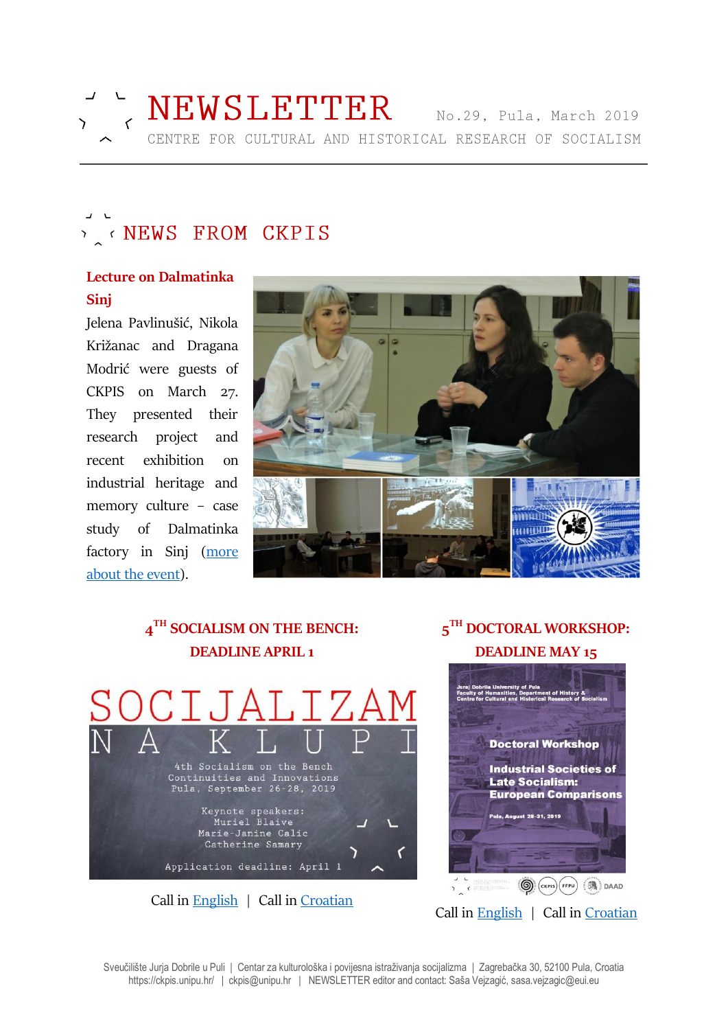

# **EXAMPLE STATES**

### **Lecture on Dalmatinka Sinj**

Jelena Pavlinušić, Nikola Križanac and Dragana Modrić were guests of CKPIS on March 27. They presented their research project and recent exhibition on industrial heritage and memory culture – case study of Dalmatinka factory in Sinj [\(more](https://ckpis.unipu.hr/ckpis/dogadanja)  [about the](https://ckpis.unipu.hr/ckpis/dogadanja) event).



## **4 TH SOCIALISM ON THE BENCH: DEADLINE APRIL 1** 4th Socialism on the Bench Continuities and Innovations<br>Pula, September 26-28, 2019 Keynote speakers:<br>Muriel Blaive Marie-Janine Calic Catherine Samary Application deadline: April 1 Call in [English](https://ckpis.unipu.hr/ckpis/en/socialism_on_the_bench/2019) | Call in [Croatian](https://ckpis.unipu.hr/ckpis/socijalizam_na_klupi/2019)

### **5 TH DOCTORAL WORKSHOP: DEADLINE MAY 15**



Sveučilište Jurja Dobrile u Puli | Centar za kulturološka i povijesna istraživanja socijalizma | Zagrebačka 30, 52100 Pula, Croatia https://ckpis.unipu.hr/ | ckpis@unipu.hr | NEWSLETTER editor and contact: Saša Vejzagić, sasa.vejzagic@eui.eu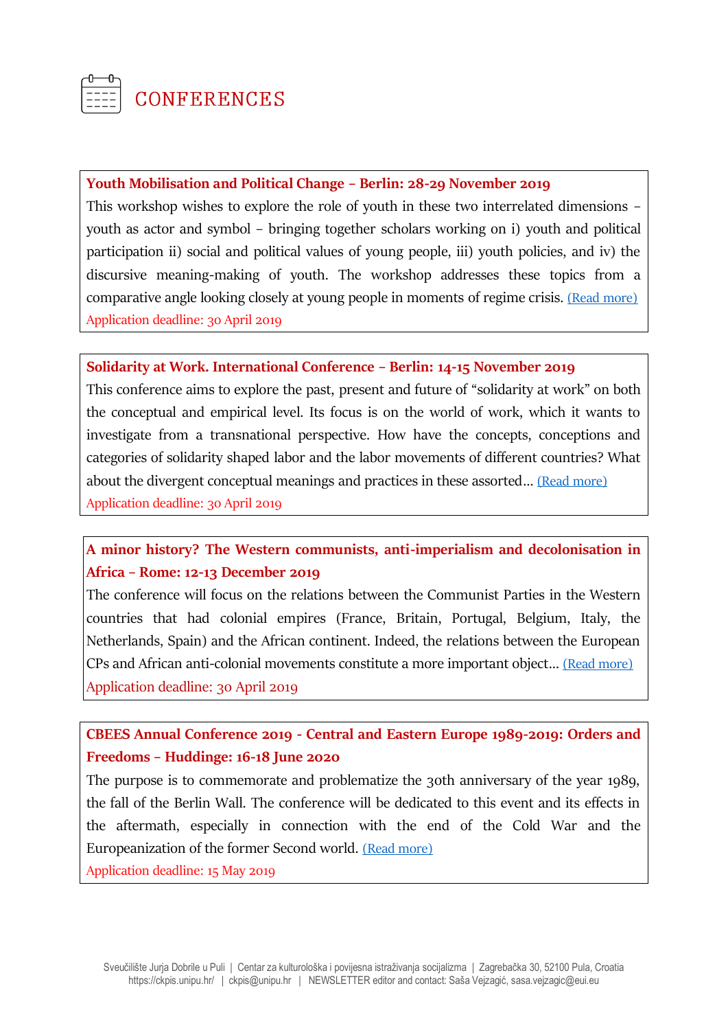

### **CONFERENCES**

### **Youth Mobilisation and Political Change – Berlin: 28-29 November 2019**

This workshop wishes to explore the role of youth in these two interrelated dimensions – youth as actor and symbol – bringing together scholars working on i) youth and political participation ii) social and political values of young people, iii) youth policies, and iv) the discursive meaning-making of youth. The workshop addresses these topics from a comparative angle looking closely at young people in moments of regime crisis. [\(Read more\)](https://socialhistoryportal.org/news/articles/309600) Application deadline: 30 April 2019

#### **Solidarity at Work. International Conference – Berlin: 14-15 November 2019**

This conference aims to explore the past, present and future of "solidarity at work" on both the conceptual and empirical level. Its focus is on the world of work, which it wants to investigate from a transnational perspective. How have the concepts, conceptions and categories of solidarity shaped labor and the labor movements of different countries? What about the divergent conceptual meanings and practices in these assorted… [\(Read more\)](https://www.wiko-berlin.de/institution/projekte-kooperationen/projekte/working-futures/) Application deadline: 30 April 2019

### **A minor history? The Western communists, anti-imperialism and decolonisation in Africa – Rome: 12-13 December 2019**

The conference will focus on the relations between the Communist Parties in the Western countries that had colonial empires (France, Britain, Portugal, Belgium, Italy, the Netherlands, Spain) and the African continent. Indeed, the relations between the European CPs and African anti-colonial movements constitute a more important object… [\(Read more\)](https://cim.fpzg.unizg.hr/events/?fbclid=IwAR2sfL-OTuLcEJYSN0cSu-StNiEDf_HPQ1ReSxHpaA1rBza-fKLhMMU2Cmc) Application deadline: 30 April 2019

### **CBEES Annual Conference 2019 - Central and Eastern Europe 1989-2019: Orders and Freedoms – Huddinge: 16-18 June 2020**

The purpose is to commemorate and problematize the 30th anniversary of the year 1989, the fall of the Berlin Wall. The conference will be dedicated to this event and its effects in the aftermath, especially in connection with the end of the Cold War and the Europeanization of the former Second world. [\(Read more\)](https://www.sh.se/cbeesannual2019?fbclid=IwAR2AbGq19LyyyLjt7qdU7YA2X_3JejRlcLjjEBofRjTUmqdt13w0dWejjYY)

Application deadline: 15 May 2019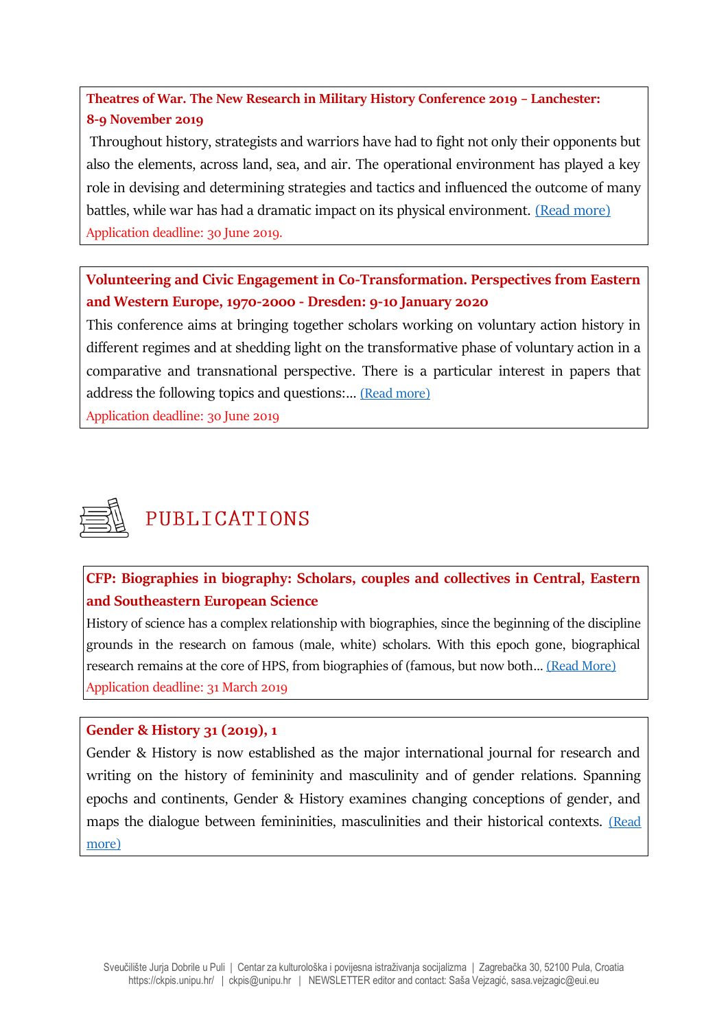**Theatres of War. The New Research in Military History Conference 2019 – Lanchester: 8-9 November 2019**

Throughout history, strategists and warriors have had to fight not only their opponents but also the elements, across land, sea, and air. The operational environment has played a key role in devising and determining strategies and tactics and influenced the outcome of many battles, while war has had a dramatic impact on its physical environment. [\(Read more\)](https://www.lancaster.ac.uk/history/news/british-commission-for-military-history-conference-call-for-papers) Application deadline: 30 June 2019.

**Volunteering and Civic Engagement in Co-Transformation. Perspectives from Eastern and Western Europe, 1970-2000 - Dresden: 9-10 January 2020**

This conference aims at bringing together scholars working on voluntary action history in different regimes and at shedding light on the transformative phase of voluntary action in a comparative and transnational perspective. There is a particular interest in papers that address the following topics and questions:… [\(Read more\)](https://www.hsozkult.de/event/id/termine-39818)

Application deadline: 30 June 2019



### PUBLICATIONS

**CFP: Biographies in biography: Scholars, couples and collectives in Central, Eastern and Southeastern European Science**

History of science has a complex relationship with biographies, since the beginning of the discipline grounds in the research on famous (male, white) scholars. With this epoch gone, biographical research remains at the core of HPS, from biographies of (famous, but now both… [\(Read More\)](http://www.ejournals.eu/Studia-Historiae-Scientiarum/) Application deadline: 31 March 2019

### **Gender & History 31 (2019), 1**

Gender & History is now established as the major international journal for research and writing on the history of femininity and masculinity and of gender relations. Spanning epochs and continents, Gender & History examines changing conceptions of gender, and maps the dialogue between femininities, masculinities and their historical contexts. (Read [more\)](https://onlinelibrary.wiley.com/toc/14680424/31/1)